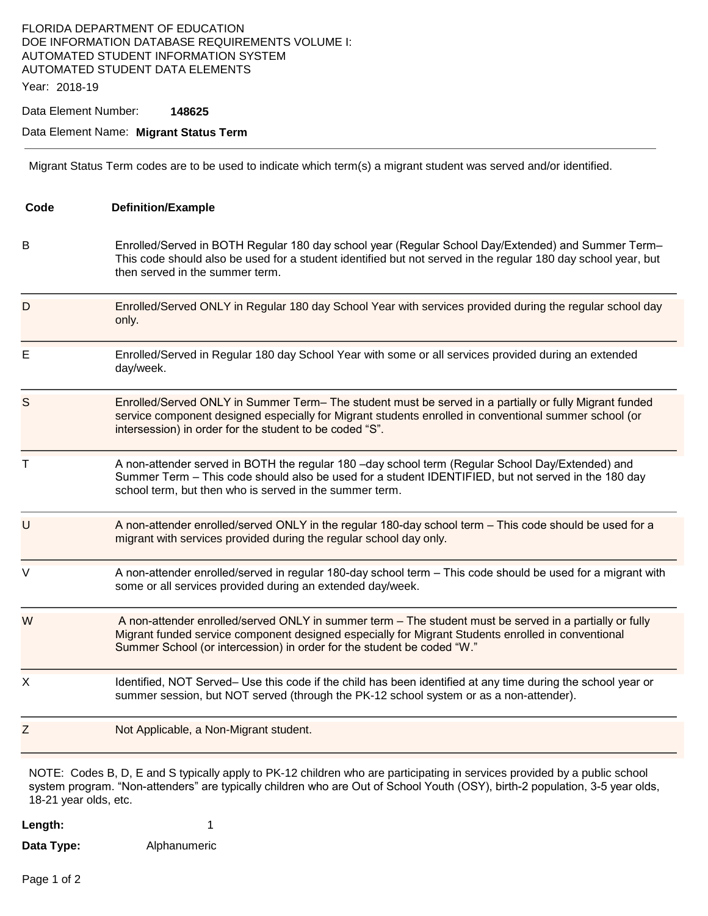## FLORIDA DEPARTMENT OF EDUCATION DOE INFORMATION DATABASE REQUIREMENTS VOLUME I: AUTOMATED STUDENT INFORMATION SYSTEM AUTOMATED STUDENT DATA ELEMENTS

Year: 2018-19

Data Element Number: **148625** 

#### Data Element Name: **Migrant Status Term**

Migrant Status Term codes are to be used to indicate which term(s) a migrant student was served and/or identified.

| Code                  | <b>Definition/Example</b>                                                                                                                                                                                                                                                               |
|-----------------------|-----------------------------------------------------------------------------------------------------------------------------------------------------------------------------------------------------------------------------------------------------------------------------------------|
| В                     | Enrolled/Served in BOTH Regular 180 day school year (Regular School Day/Extended) and Summer Term-<br>This code should also be used for a student identified but not served in the regular 180 day school year, but<br>then served in the summer term.                                  |
| D                     | Enrolled/Served ONLY in Regular 180 day School Year with services provided during the regular school day<br>only.                                                                                                                                                                       |
| E                     | Enrolled/Served in Regular 180 day School Year with some or all services provided during an extended<br>day/week.                                                                                                                                                                       |
| S                     | Enrolled/Served ONLY in Summer Term- The student must be served in a partially or fully Migrant funded<br>service component designed especially for Migrant students enrolled in conventional summer school (or<br>intersession) in order for the student to be coded "S".              |
| Τ                     | A non-attender served in BOTH the regular 180 -day school term (Regular School Day/Extended) and<br>Summer Term - This code should also be used for a student IDENTIFIED, but not served in the 180 day<br>school term, but then who is served in the summer term.                      |
| U                     | A non-attender enrolled/served ONLY in the regular 180-day school term - This code should be used for a<br>migrant with services provided during the regular school day only.                                                                                                           |
| V                     | A non-attender enrolled/served in regular 180-day school term - This code should be used for a migrant with<br>some or all services provided during an extended day/week.                                                                                                               |
| W                     | A non-attender enrolled/served ONLY in summer term - The student must be served in a partially or fully<br>Migrant funded service component designed especially for Migrant Students enrolled in conventional<br>Summer School (or intercession) in order for the student be coded "W." |
| X                     | Identified, NOT Served- Use this code if the child has been identified at any time during the school year or<br>summer session, but NOT served (through the PK-12 school system or as a non-attender).                                                                                  |
| Ζ                     | Not Applicable, a Non-Migrant student.                                                                                                                                                                                                                                                  |
| 18-21 year olds, etc. | NOTE: Codes B, D, E and S typically apply to PK-12 children who are participating in services provided by a public school<br>system program. "Non-attenders" are typically children who are Out of School Youth (OSY), birth-2 population, 3-5 year olds,                               |

**Length:** 1 **Data Type:** Alphanumeric